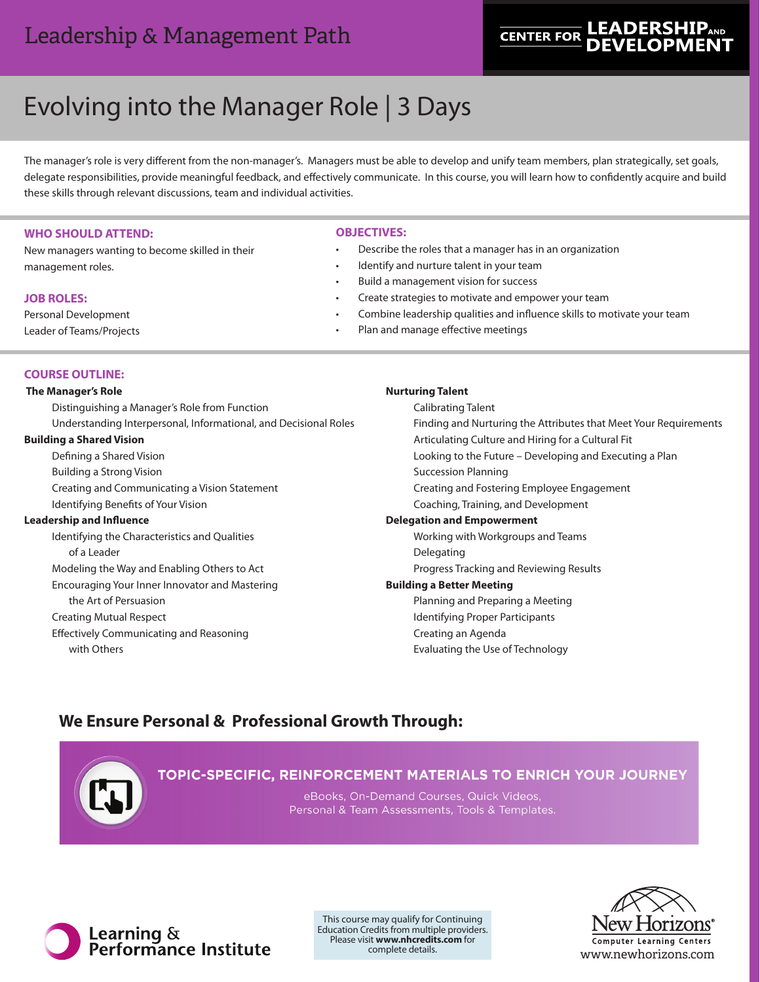## **LEADERSHIPAND CENTER FOR**

# Evolving into the Manager Role | 3 Days

The manager's role is very different from the non-manager's. Managers must be able to develop and unify team members, plan strategically, set goals, delegate responsibilities, provide meaningful feedback, and effectively communicate. In this course, you will learn how to confidently acquire and build these skills through relevant discussions, team and individual activities.

#### **WHO SHOULD ATTEND:**

New managers wanting to become skilled in their management roles.

#### **JOB ROLES:**

Personal Development Leader of Teams/Projects

#### **OBJECTIVES:**

- Describe the roles that a manager has in an organization
- Identify and nurture talent in your team
- Build a management vision for success
- Create strategies to motivate and empower your team
- Combine leadership qualities and influence skills to motivate your team
- Plan and manage effective meetings

#### **COURSE OUTLINE:**

 **The Manager's Role**

Distinguishing a Manager's Role from Function Understanding Interpersonal, Informational, and Decisional Roles **Building a Shared Vision**

Defining a Shared Vision Building a Strong Vision Creating and Communicating a Vision Statement Identifying Benefits of Your Vision **Leadership and Influence**

> Identifying the Characteristics and Qualities of a Leader Modeling the Way and Enabling Others to Act Encouraging Your Inner Innovator and Mastering

the Art of Persuasion Creating Mutual Respect Effectively Communicating and Reasoning with Others

## **Nurturing Talent**

Calibrating Talent Finding and Nurturing the Attributes that Meet Your Requirements Articulating Culture and Hiring for a Cultural Fit Looking to the Future – Developing and Executing a Plan Succession Planning Creating and Fostering Employee Engagement Coaching, Training, and Development **Delegation and Empowerment** Working with Workgroups and Teams Delegating Progress Tracking and Reviewing Results **Building a Better Meeting** Planning and Preparing a Meeting Identifying Proper Participants

## **We Ensure Personal & Professional Growth Through:**



## TOPIC-SPECIFIC, REINFORCEMENT MATERIALS TO ENRICH YOUR JOURNEY

Creating an Agenda

Evaluating the Use of Technology

eBooks, On-Demand Courses, Quick Videos, Personal & Team Assessments, Tools & Templates.



This course may qualify for Continuing Education Credits from multiple providers. Please visit **www.nhcredits.com** for